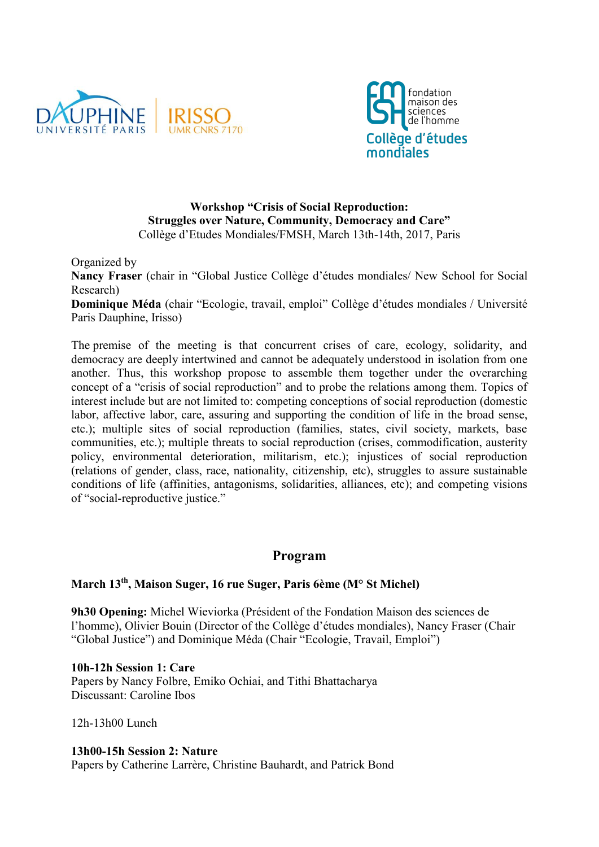



### **Workshop "Crisis of Social Reproduction: Struggles over Nature, Community, Democracy and Care"** Collège d'Etudes Mondiales/FMSH, March 13th-14th, 2017, Paris

Organized by

**Nancy Fraser** (chair in "Global Justice Collège d'études mondiales/ New School for Social Research)

**Dominique Méda** (chair "Ecologie, travail, emploi" Collège d'études mondiales / Université Paris Dauphine, Irisso)

The premise of the meeting is that concurrent crises of care, ecology, solidarity, and democracy are deeply intertwined and cannot be adequately understood in isolation from one another. Thus, this workshop propose to assemble them together under the overarching concept of a "crisis of social reproduction" and to probe the relations among them. Topics of interest include but are not limited to: competing conceptions of social reproduction (domestic labor, affective labor, care, assuring and supporting the condition of life in the broad sense, etc.); multiple sites of social reproduction (families, states, civil society, markets, base communities, etc.); multiple threats to social reproduction (crises, commodification, austerity policy, environmental deterioration, militarism, etc.); injustices of social reproduction (relations of gender, class, race, nationality, citizenship, etc), struggles to assure sustainable conditions of life (affinities, antagonisms, solidarities, alliances, etc); and competing visions of "social-reproductive justice."

# **Program**

# **March 13th, Maison Suger, 16 rue Suger, Paris 6ème (M° St Michel)**

**9h30 Opening:** Michel Wieviorka (Président of the Fondation Maison des sciences de l'homme), Olivier Bouin (Director of the Collège d'études mondiales), Nancy Fraser (Chair "Global Justice") and Dominique Méda (Chair "Ecologie, Travail, Emploi")

**10h-12h Session 1: Care**  Papers by Nancy Folbre, Emiko Ochiai, and Tithi Bhattacharya Discussant: Caroline Ibos

12h-13h00 Lunch

#### **13h00-15h Session 2: Nature**

Papers by Catherine Larrère, Christine Bauhardt, and Patrick Bond